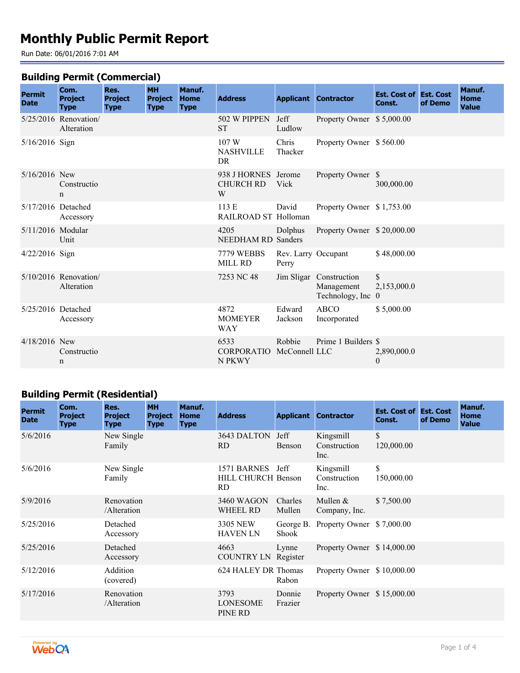# **Monthly Public Permit Report**

Run Date: 06/01/2016 7:01 AM

#### **Building Permit (Commercial)**

| <b>Permit</b><br><b>Date</b> | Com.<br><b>Project</b><br><b>Type</b><br>$5/25/2016$ Renovation<br>Alteration | Res.<br><b>Project</b><br><b>Type</b> | <b>MH</b><br><b>Project</b><br><b>Type</b> | Manuf.<br><b>Home</b><br><b>Type</b> | <b>Address</b><br>502 W PIPPEN<br><b>ST</b>  | Jeff<br>Ludlow               | <b>Applicant Contractor</b><br>Property Owner \$5,000.00   | <b>Est. Cost of Est. Cost</b><br>Const. | of Demo | Manuf.<br><b>Home</b><br><b>Value</b> |
|------------------------------|-------------------------------------------------------------------------------|---------------------------------------|--------------------------------------------|--------------------------------------|----------------------------------------------|------------------------------|------------------------------------------------------------|-----------------------------------------|---------|---------------------------------------|
| 5/16/2016 Sign               |                                                                               |                                       |                                            |                                      | 107 W<br><b>NASHVILLE</b><br>DR              | Chris<br>Thacker             | Property Owner \$560.00                                    |                                         |         |                                       |
| $5/16/2016$ New              | Constructio<br>n                                                              |                                       |                                            |                                      | 938 J HORNES Jerome<br><b>CHURCH RD</b><br>W | Vick                         | Property Owner \$                                          | 300,000.00                              |         |                                       |
| 5/17/2016 Detached           | Accessory                                                                     |                                       |                                            |                                      | 113E<br>RAILROAD ST Holloman                 | David                        | Property Owner \$1,753.00                                  |                                         |         |                                       |
| 5/11/2016 Modular            | Unit                                                                          |                                       |                                            |                                      | 4205<br><b>NEEDHAM RD Sanders</b>            | Dolphus                      | Property Owner \$20,000.00                                 |                                         |         |                                       |
| 4/22/2016 Sign               |                                                                               |                                       |                                            |                                      | <b>7779 WEBBS</b><br><b>MILL RD</b>          | Rev. Larry Occupant<br>Perry |                                                            | \$48,000.00                             |         |                                       |
|                              | $5/10/2016$ Renovation<br>Alteration                                          |                                       |                                            |                                      | 7253 NC 48                                   |                              | Jim Sligar Construction<br>Management<br>Technology, Inc 0 | $\mathbb{S}$<br>2,153,000.0             |         |                                       |
| 5/25/2016 Detached           | Accessory                                                                     |                                       |                                            |                                      | 4872<br><b>MOMEYER</b><br><b>WAY</b>         | Edward<br>Jackson            | <b>ABCO</b><br>Incorporated                                | \$5,000.00                              |         |                                       |
| $4/18/2016$ New              | Constructio<br>n                                                              |                                       |                                            |                                      | 6533<br><b>CORPORATIO</b><br>N PKWY          | Robbie<br>McConnell LLC      | Prime 1 Builders \$                                        | 2,890,000.0<br>$\theta$                 |         |                                       |

## **Building Permit (Residential)**

| <b>Permit</b><br><b>Date</b> | Com.<br><b>Project</b><br><b>Type</b> | Res.<br><b>Project</b><br><b>Type</b> | <b>MH</b><br><b>Project</b><br><b>Type</b> | Manuf.<br><b>Home</b><br><b>Type</b> | <b>Address</b>                           |                           | <b>Applicant Contractor</b>       | <b>Est. Cost of Est. Cost</b><br>Const. | of Demo | Manuf.<br>Home<br><b>Value</b> |
|------------------------------|---------------------------------------|---------------------------------------|--------------------------------------------|--------------------------------------|------------------------------------------|---------------------------|-----------------------------------|-----------------------------------------|---------|--------------------------------|
| 5/6/2016                     |                                       | New Single<br>Family                  |                                            |                                      | 3643 DALTON<br>RD.                       | Jeff<br>Benson            | Kingsmill<br>Construction<br>Inc. | \$<br>120,000.00                        |         |                                |
| 5/6/2016                     |                                       | New Single<br>Family                  |                                            |                                      | 1571 BARNES<br>HILL CHURCH Benson<br>RD. | Jeff                      | Kingsmill<br>Construction<br>Inc. | \$<br>150,000.00                        |         |                                |
| 5/9/2016                     |                                       | Renovation<br>/Alteration             |                                            |                                      | 3460 WAGON<br>WHEEL RD                   | Charles<br>Mullen         | Mullen $&$<br>Company, Inc.       | \$7,500.00                              |         |                                |
| 5/25/2016                    |                                       | Detached<br>Accessory                 |                                            |                                      | 3305 NEW<br><b>HAVEN LN</b>              | George B.<br><b>Shook</b> | Property Owner                    | \$7,000.00                              |         |                                |
| 5/25/2016                    |                                       | Detached<br>Accessory                 |                                            |                                      | 4663<br><b>COUNTRY LN Register</b>       | Lynne                     | Property Owner \$14,000.00        |                                         |         |                                |
| 5/12/2016                    |                                       | Addition<br>(covered)                 |                                            |                                      | 624 HALEY DR Thomas                      | Rabon                     | Property Owner                    | \$10,000.00                             |         |                                |
| 5/17/2016                    |                                       | Renovation<br>/Alteration             |                                            |                                      | 3793<br><b>LONESOME</b><br>PINE RD       | Donnie<br>Frazier         | Property Owner                    | \$15,000.00                             |         |                                |

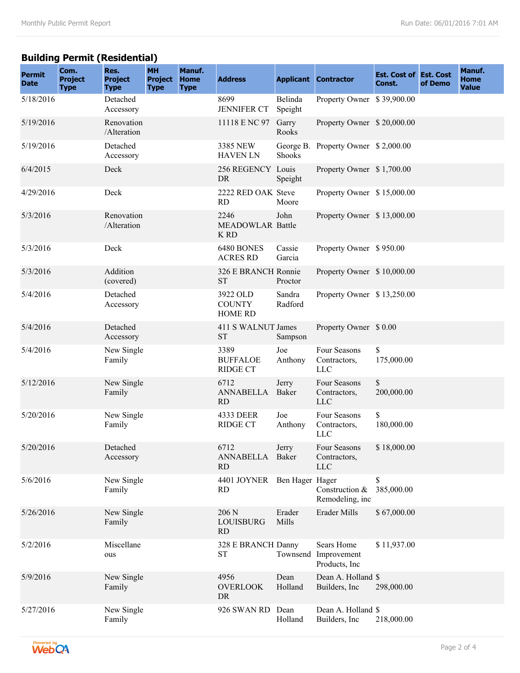### **Building Permit (Residential)**

| <b>Permit</b><br><b>Date</b> | Com.<br><b>Project</b><br><b>Type</b> | Res.<br><b>Project</b><br><b>Type</b> | <b>MH</b><br><b>Project</b><br><b>Type</b> | Manuf.<br><b>Home</b><br><b>Type</b> | <b>Address</b>                              |                    | <b>Applicant Contractor</b>                | <b>Est. Cost of Est. Cost</b><br>Const. | of Demo | Manuf.<br><b>Home</b><br><b>Value</b> |
|------------------------------|---------------------------------------|---------------------------------------|--------------------------------------------|--------------------------------------|---------------------------------------------|--------------------|--------------------------------------------|-----------------------------------------|---------|---------------------------------------|
| 5/18/2016                    |                                       | Detached<br>Accessory                 |                                            |                                      | 8699<br><b>JENNIFER CT</b>                  | Belinda<br>Speight | Property Owner \$39,900.00                 |                                         |         |                                       |
| 5/19/2016                    |                                       | Renovation<br>/Alteration             |                                            |                                      | 11118 E NC 97                               | Garry<br>Rooks     | Property Owner \$20,000.00                 |                                         |         |                                       |
| 5/19/2016                    |                                       | Detached<br>Accessory                 |                                            |                                      | 3385 NEW<br><b>HAVEN LN</b>                 | Shooks             | George B. Property Owner \$2,000.00        |                                         |         |                                       |
| 6/4/2015                     |                                       | Deck                                  |                                            |                                      | 256 REGENCY Louis<br><b>DR</b>              | Speight            | Property Owner \$1,700.00                  |                                         |         |                                       |
| 4/29/2016                    |                                       | Deck                                  |                                            |                                      | 2222 RED OAK Steve<br><b>RD</b>             | Moore              | Property Owner \$15,000.00                 |                                         |         |                                       |
| 5/3/2016                     |                                       | Renovation<br>/Alteration             |                                            |                                      | 2246<br>MEADOWLAR Battle<br><b>K RD</b>     | John               | Property Owner \$13,000.00                 |                                         |         |                                       |
| 5/3/2016                     |                                       | Deck                                  |                                            |                                      | 6480 BONES<br><b>ACRES RD</b>               | Cassie<br>Garcia   | Property Owner \$950.00                    |                                         |         |                                       |
| 5/3/2016                     |                                       | Addition<br>(covered)                 |                                            |                                      | 326 E BRANCH Ronnie<br><b>ST</b>            | Proctor            | Property Owner \$10,000.00                 |                                         |         |                                       |
| 5/4/2016                     |                                       | Detached<br>Accessory                 |                                            |                                      | 3922 OLD<br><b>COUNTY</b><br><b>HOME RD</b> | Sandra<br>Radford  | Property Owner \$13,250.00                 |                                         |         |                                       |
| 5/4/2016                     |                                       | Detached<br>Accessory                 |                                            |                                      | 411 S WALNUT James<br><b>ST</b>             | Sampson            | Property Owner \$ 0.00                     |                                         |         |                                       |
| 5/4/2016                     |                                       | New Single<br>Family                  |                                            |                                      | 3389<br><b>BUFFALOE</b><br><b>RIDGE CT</b>  | Joe<br>Anthony     | Four Seasons<br>Contractors,<br><b>LLC</b> | \$<br>175,000.00                        |         |                                       |
| 5/12/2016                    |                                       | New Single<br>Family                  |                                            |                                      | 6712<br><b>ANNABELLA</b><br><b>RD</b>       | Jerry<br>Baker     | Four Seasons<br>Contractors,<br><b>LLC</b> | \$<br>200,000.00                        |         |                                       |
| 5/20/2016                    |                                       | New Single<br>Family                  |                                            |                                      | 4333 DEER<br><b>RIDGE CT</b>                | Joe<br>Anthony     | Four Seasons<br>Contractors,<br><b>LLC</b> | $\mathbb S$<br>180,000.00               |         |                                       |
| 5/20/2016                    |                                       | Detached<br>Accessory                 |                                            |                                      | 6712<br><b>ANNABELLA</b><br><b>RD</b>       | Jerry<br>Baker     | Four Seasons<br>Contractors,<br><b>LLC</b> | \$18,000.00                             |         |                                       |
| 5/6/2016                     |                                       | New Single<br>Family                  |                                            |                                      | 4401 JOYNER<br><b>RD</b>                    | Ben Hager Hager    | Construction &<br>Remodeling, inc          | \$<br>385,000.00                        |         |                                       |
| 5/26/2016                    |                                       | New Single<br>Family                  |                                            |                                      | 206 N<br><b>LOUISBURG</b><br>RD             | Erader<br>Mills    | Erader Mills                               | \$67,000.00                             |         |                                       |
| 5/2/2016                     |                                       | Miscellane<br>ous                     |                                            |                                      | 328 E BRANCH Danny<br><b>ST</b>             | Townsend           | Sears Home<br>Improvement<br>Products, Inc | \$11,937.00                             |         |                                       |
| 5/9/2016                     |                                       | New Single<br>Family                  |                                            |                                      | 4956<br><b>OVERLOOK</b><br>DR               | Dean<br>Holland    | Dean A. Holland \$<br>Builders, Inc.       | 298,000.00                              |         |                                       |
| 5/27/2016                    |                                       | New Single<br>Family                  |                                            |                                      | 926 SWAN RD                                 | Dean<br>Holland    | Dean A. Holland \$<br>Builders, Inc.       | 218,000.00                              |         |                                       |

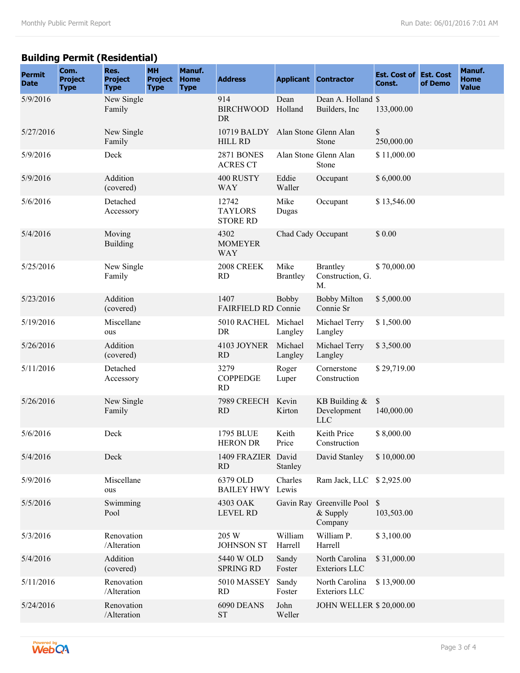## **Building Permit (Residential)**

| <b>Permit</b><br><b>Date</b> | Com.<br><b>Project</b><br><b>Type</b> | Res.<br><b>Project</b><br><b>Type</b> | <b>MH</b><br><b>Project</b><br><b>Type</b> | Manuf.<br><b>Home</b><br><b>Type</b> | <b>Address</b>                             |                         | <b>Applicant Contractor</b>                        | <b>Est. Cost of Est. Cost</b><br>Const. | of Demo | Manuf.<br>Home<br><b>Value</b> |
|------------------------------|---------------------------------------|---------------------------------------|--------------------------------------------|--------------------------------------|--------------------------------------------|-------------------------|----------------------------------------------------|-----------------------------------------|---------|--------------------------------|
| 5/9/2016                     |                                       | New Single<br>Family                  |                                            |                                      | 914<br><b>BIRCHWOOD</b><br><b>DR</b>       | Dean<br>Holland         | Dean A. Holland \$<br>Builders, Inc.               | 133,000.00                              |         |                                |
| 5/27/2016                    |                                       | New Single<br>Family                  |                                            |                                      | 10719 BALDY<br><b>HILL RD</b>              |                         | Alan Stone Glenn Alan<br>Stone                     | \$<br>250,000.00                        |         |                                |
| 5/9/2016                     |                                       | Deck                                  |                                            |                                      | 2871 BONES<br><b>ACRES CT</b>              |                         | Alan Stone Glenn Alan<br>Stone                     | \$11,000.00                             |         |                                |
| 5/9/2016                     |                                       | Addition<br>(covered)                 |                                            |                                      | 400 RUSTY<br><b>WAY</b>                    | Eddie<br>Waller         | Occupant                                           | \$6,000.00                              |         |                                |
| 5/6/2016                     |                                       | Detached<br>Accessory                 |                                            |                                      | 12742<br><b>TAYLORS</b><br><b>STORE RD</b> | Mike<br>Dugas           | Occupant                                           | \$13,546.00                             |         |                                |
| 5/4/2016                     |                                       | Moving<br><b>Building</b>             |                                            |                                      | 4302<br><b>MOMEYER</b><br><b>WAY</b>       | Chad Cady Occupant      |                                                    | \$0.00                                  |         |                                |
| 5/25/2016                    |                                       | New Single<br>Family                  |                                            |                                      | 2008 CREEK<br>RD                           | Mike<br><b>Brantley</b> | <b>Brantley</b><br>Construction, G.<br>M.          | \$70,000.00                             |         |                                |
| 5/23/2016                    |                                       | Addition<br>(covered)                 |                                            |                                      | 1407<br>FAIRFIELD RD Connie                | <b>Bobby</b>            | <b>Bobby Milton</b><br>Connie Sr                   | \$5,000.00                              |         |                                |
| 5/19/2016                    |                                       | Miscellane<br>ous                     |                                            |                                      | 5010 RACHEL Michael<br>DR                  | Langley                 | Michael Terry<br>Langley                           | \$1,500.00                              |         |                                |
| 5/26/2016                    |                                       | Addition<br>(covered)                 |                                            |                                      | 4103 JOYNER<br><b>RD</b>                   | Michael<br>Langley      | Michael Terry<br>Langley                           | \$3,500.00                              |         |                                |
| 5/11/2016                    |                                       | Detached<br>Accessory                 |                                            |                                      | 3279<br><b>COPPEDGE</b><br><b>RD</b>       | Roger<br>Luper          | Cornerstone<br>Construction                        | \$29,719.00                             |         |                                |
| 5/26/2016                    |                                       | New Single<br>Family                  |                                            |                                      | 7989 CREECH<br><b>RD</b>                   | Kevin<br>Kirton         | KB Building &<br>Development<br><b>LLC</b>         | \$<br>140,000.00                        |         |                                |
| 5/6/2016                     |                                       | Deck                                  |                                            |                                      | 1795 BLUE<br><b>HERON DR</b>               | Keith<br>Price          | Keith Price<br>Construction                        | \$8,000.00                              |         |                                |
| 5/4/2016                     |                                       | Deck                                  |                                            |                                      | 1409 FRAZIER David<br><b>RD</b>            | Stanley                 | David Stanley                                      | \$10,000.00                             |         |                                |
| 5/9/2016                     |                                       | Miscellane<br>ous                     |                                            |                                      | 6379 OLD<br><b>BAILEY HWY</b>              | Charles<br>Lewis        | Ram Jack, LLC \$2,925.00                           |                                         |         |                                |
| 5/5/2016                     |                                       | Swimming<br>Pool                      |                                            |                                      | 4303 OAK<br><b>LEVEL RD</b>                |                         | Gavin Ray Greenville Pool<br>$&$ Supply<br>Company | $\mathbb S$<br>103,503.00               |         |                                |
| 5/3/2016                     |                                       | Renovation<br>/Alteration             |                                            |                                      | 205 W<br><b>JOHNSON ST</b>                 | William<br>Harrell      | William P.<br>Harrell                              | \$3,100.00                              |         |                                |
| 5/4/2016                     |                                       | Addition<br>(covered)                 |                                            |                                      | 5440 W OLD<br><b>SPRING RD</b>             | Sandy<br>Foster         | North Carolina<br>Exteriors LLC                    | \$31,000.00                             |         |                                |
| 5/11/2016                    |                                       | Renovation<br>/Alteration             |                                            |                                      | 5010 MASSEY<br><b>RD</b>                   | Sandy<br>Foster         | North Carolina<br><b>Exteriors LLC</b>             | \$13,900.00                             |         |                                |
| 5/24/2016                    |                                       | Renovation<br>/Alteration             |                                            |                                      | 6090 DEANS<br><b>ST</b>                    | John<br>Weller          | <b>JOHN WELLER \$20,000.00</b>                     |                                         |         |                                |